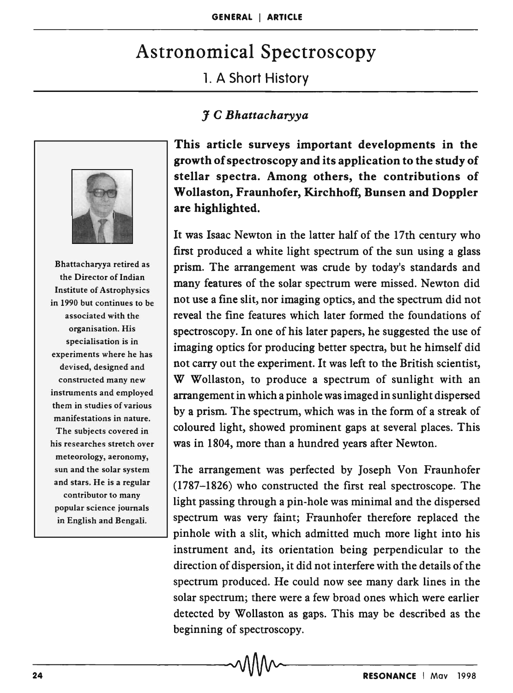## Astronomical Spectroscopy

1. A Short History

## J C *Bhattacharyya*



Bhattacharyya retired as the Director of Indian Institute of Astrophysics in 1990 but continues to be associated with the organisation. His specialisation is in experiments where he has devised, designed and constructed many new instruments and employed them in studies of various manifestations in nature. The subjects covered in his researches stretch over meteorology, aeronomy, sun and the solar system and stars. He is a regular contributor to many popular science journals in English and Bengali.

This article surveys important developments in the growth of spectroscopy and its application to the study of stellar spectra. Among others, the contributions of Wollaston, Fraunhofer, Kirchhoff, Bunsen and Doppler are highlighted.

It was Isaac Newton in the latter half of the 17th century who first produced a white light spectrum of the sun using a glass prism. The arrangement was crude by today's standards and many features of the solar spectrum were missed. Newton did not use a fine slit, nor imaging optics, and the spectrum did not reveal the fine features which later formed the foundations of spectroscopy. In one of his later papers, he suggested the use of imaging optics for producing better spectra, but he himself did not carry out the experiment. It was left to the British scientist, W Wollaston, to produce a spectrum of sunlight with an arrangement in which a pinhole was imaged in sunlight dispersed by a prism. The spectrum, which was in the form of a streak of coloured light, showed prominent gaps at several places. This was in 1804, more than a hundred years after Newton.

The arrangement was perfected by Joseph Von Fraunhofer (1787-1826) who constructed the first real spectroscope. The light passing through a pin-hole was minimal and the dispersed spectrum was very faint; Fraunhofer therefore replaced the pinhole with a slit, which admitted much more light into his instrument and, its orientation being perpendicular to the direction of dispersion, it did not interfere with the details of the spectrum produced. He could now see many dark lines in the solar spectrum; there were a few broad ones which were earlier detected by Wollaston as gaps. This may be described as the beginning of spectroscopy.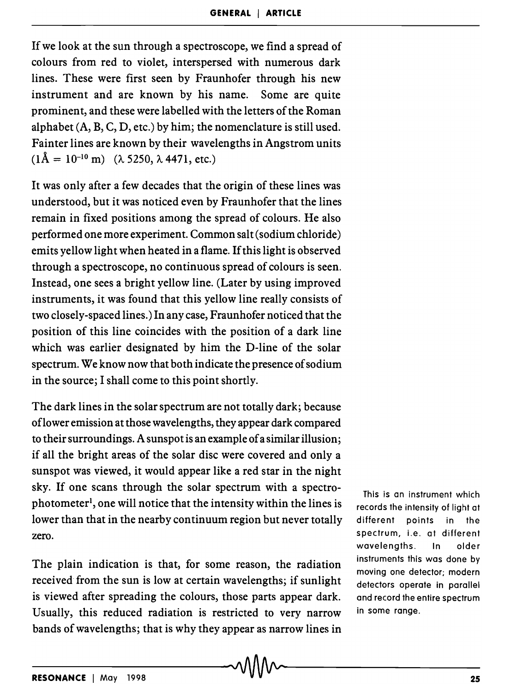If we look at the sun through a spectroscope, we find a spread of colours from red to violet, interspersed with numerous dark lines. These were first seen by Fraunhofer through his new instrument and are known by his name. Some are quite prominent, and these were labelled with the letters of the Roman alphabet  $(A, B, C, D, etc.)$  by him; the nomenclature is still used. Fainter lines are known by their wavelengths in Angstrom units  $(1\text{\AA} = 10^{-10} \text{ m})$   $(\lambda 5250, \lambda 4471, \text{ etc.})$ 

It was only after a few decades that the origin of these lines was understood, but it was noticed even by Fraunhofer that the lines remain in fixed positions among the spread of colours. He also performed one more experiment. Common salt (sodium chloride) emits yellow light when heated in a flame. If this light is observed through a spectroscope, no continuous spread of colours is seen. Instead, one sees a bright yellow line. (Later by using improved instruments, it was found that this yellow line really consists of two closely-spaced lines.) In any case, Fraunhofer noticed that the position of this line coincides with the position of a dark line which was earlier designated by him the D-line of the solar spectrum. We know now that both indicate the presence of sodium in the source; I shall come to this point shortly.

The dark lines in the solar spectrum are not totally dark; because oflower emission at those wavelengths, they appear dark compared to their surroundings. A sunspot is an example of a similar illusion; if all the bright areas of the solar disc were covered and only a sunspot was viewed, it would appear like a red star in the night sky. If one scans through the solar spectrum with a spectrophotometer<sup>1</sup>, one will notice that the intensity within the lines is lower than that in the nearby continuum region but never totally zero.

The plain indication is that, for some reason, the radiation received from the sun is low at certain wavelengths; if sunlight is viewed after spreading the colours, those parts appear dark. Usually, this reduced radiation is restricted to very narrow bands of wavelengths; that is why they appear as narrow lines in

This is an instrument which records the intensity of light at different points in the spectrum, i.e. at different wavelengths. In older instruments this was done by moving one detector; modern detectors operate in parallel and record the entire spectrum in some range.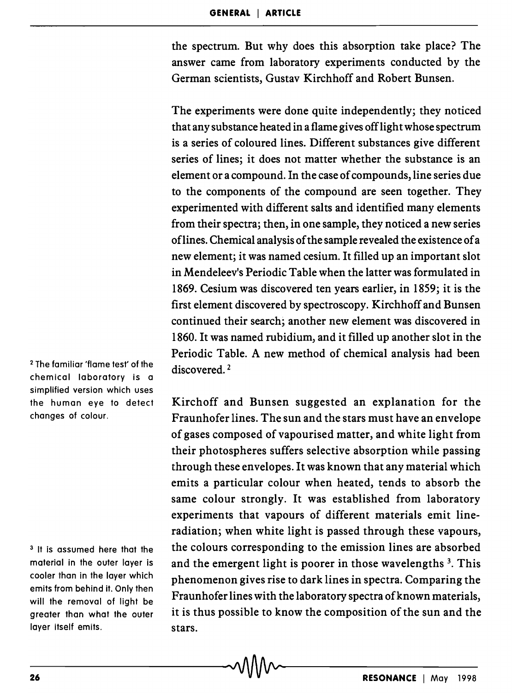the spectrum. But why does this absorption take place? The answer came from laboratory experiments conducted by the German scientists, Gustav Kirchhoff and Robert Bunsen.

The experiments were done quite independently; they noticed that any substance heated in a flame gives offlight whose spectrum is a series of coloured lines. Different substances give different series of lines; it does not matter whether the substance is an element or a compound. In the case of compounds, line series due to the components of the compound are seen together. They experimented with different salts and identified many elements from their spectra; then, in one sample, they noticed a new series oflines. Chemical analysis of the sample revealed the existence of a new element; it was named cesium. It filled up an important slot in Mendeleev's Periodic Table when the latter was formulated in 1869. Cesium was discovered ten years earlier, in 1859; it is the first element discovered by spectroscopy. Kirchhoff and Bunsen continued their search; another new element was discovered in 1860. It was named rubidium, and it filled up another slot in the Periodic Table. A new method of chemical analysis had been discovered.<sup>2</sup>

Kirchoff and Bunsen suggested an explanation for the Fraunhofer lines. The sun and the stars must have an envelope of gases composed of vapourised matter, and white light from their photospheres suffers selective absorption while passing through these envelopes. It was known that any material which emits a particular colour when heated, tends to absorb the same colour strongly. It was established from laboratory experiments that vapours of different materials emit lineradiation; when white light is passed through these vapours, the colours corresponding to the emission lines are absorbed and the emergent light is poorer in those wavelengths<sup>3</sup>. This phenomenon gives rise to dark lines in spectra. Comparing the Fraunhofer lines with the laboratory spectra of known materials, it is thus possible to know the composition of the sun and the stars.

<sup>2</sup>The familiar 'flame test' of the chemical laboratory is a simplified version which uses the human eye to detect changes of colour.

<sup>3</sup> It is assumed here that the material in the outer layer is cooler than in the layer which emits from behind it. Only then will the removal of light be greater than what the outer layer itself emits.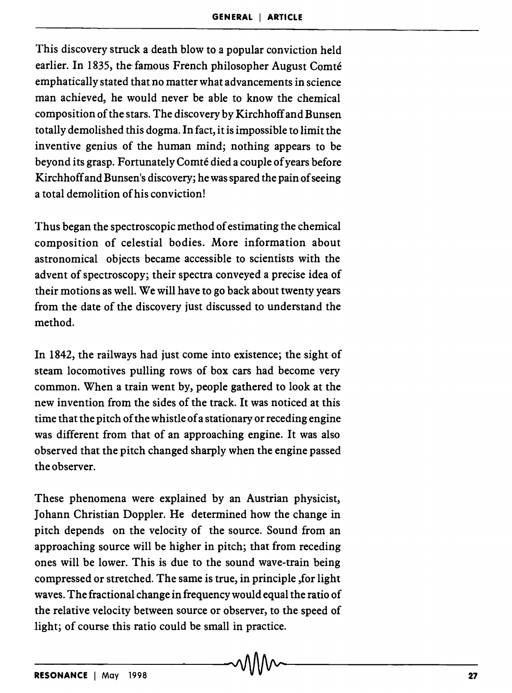This discovery struck a death blow to a popular conviction held earlier. In 1835, the famous French philosopher August Comté emphatically stated that no matter what advancements in science man achieved, he would never be able to know the chemical composition of the stars. The discovery by Kirchhoff and Bunsen totally demolished this dogma. In fact, it is impossible to limit the inventive genius of the human mind; nothing appears to be beyond its grasp. Fortunately Comte died a couple of years before Kirchhoff and Bunsen's discovery; he was spared the pain of seeing a total demolition of his conviction!

Thus began the spectroscopic method of estimating the chemical composition of celestial bodies. More information about astronomical objects became accessible to scientists with the advent of spectroscopy; their spectra conveyed a precise idea of their motions as well. We will have to go back about twenty years from the date of the discovery just discussed to understand the method.

In 1842, the railways had just come into existence; the sight of steam locomotives pulling rows of box cars had become very common. When a train went by, people gathered to look at the new invention from the sides of the track. It was noticed at this time that the pitch of the whistle of a stationary or receding engine was different from that of an approaching engine. It was also observed that the pitch changed sharply when the engine passed the observer.

These phenomena were explained by an Austrian physicist, Johann Christian Doppler. He determined how the change in pitch depends on the velocity of the source. Sound from an approaching source will be higher in pitch; that from receding ones will be lower. This is due to the sound wave-train being compressed or stretched. The same is true, in principle ,for light waves. The fractional change in frequency would equal the ratio of the relative velocity between source or observer, to the speed of light; of course this ratio could be small in practice.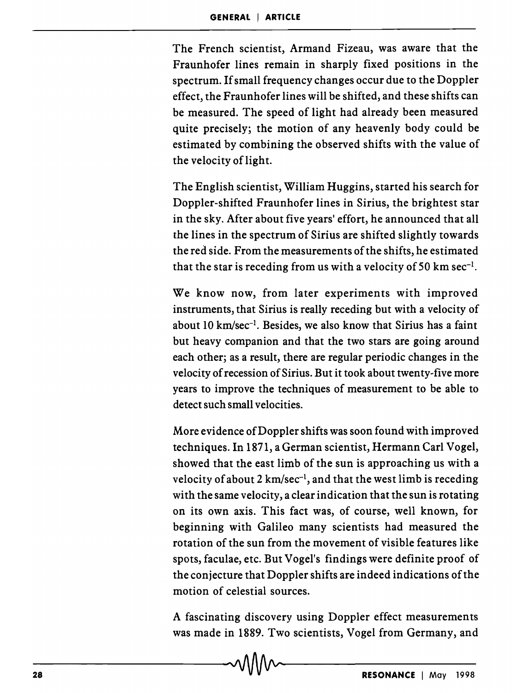The French scientist, Armand Fizeau, was aware that the Fraunhofer lines remain in sharply fixed positions in the spectrum. If small frequency changes occur due to the Doppler effect, the Fraunhofer lines will be shifted, and these shifts can be measured. The speed of light had already been measured quite precisely; the motion of any heavenly body could be estimated by combining the observed shifts with the value of the velocity of light.

The English scientist, William Huggins, started his search for Doppler-shifted Fraunhofer lines in Sirius, the brightest star in the sky. After about five years' effort, he announced that all the lines in the spectrum of Sirius are shifted slightly towards the red side. From the measurements of the shifts, he estimated that the star is receding from us with a velocity of 50 km sec<sup>-1</sup>.

We know now, from later experiments with improved instruments, that Sirius is really receding but with a velocity of about 10 km/sec<sup>-1</sup>. Besides, we also know that Sirius has a faint but heavy companion and that the two stars are going around each other; as a result, there are regular periodic changes in the velocity of recession of Sirius. But it took about twenty-five more years to improve the techniques of measurement to be able to detect such small velocities.

More evidence of Doppler shifts was soon found with improved techniques. In 1871, a German scientist, Hermann Carl Vogel, showed that the east limb of the sun is approaching us with a velocity of about 2 km/sec<sup>-1</sup>, and that the west limb is receding with the same velocity, a clear indication that the sun is rotating on its own axis. This fact was, of course, well known, for beginning with Galileo many scientists had measured the rotation of the sun from the movement of visible features like spots, faculae, etc. But Vogel's findings were definite proof of the conjecture that Doppler shifts are indeed indications of the motion of celestial sources.

A fascinating discovery using Doppler effect measurements was made in 1889. Two scientists, Vogel from Germany, and